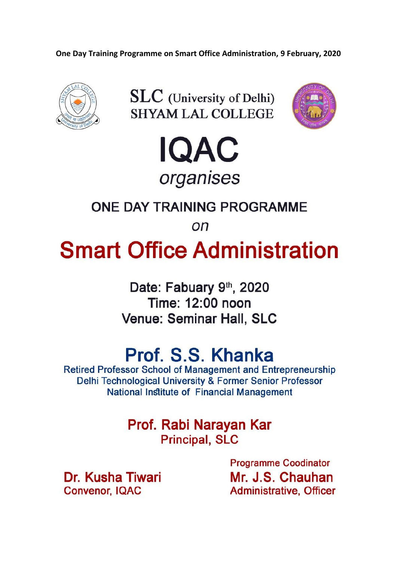One Day Training Programme on Smart Office Administration, 9 February, 2020









### ONE DAY TRAINING PROGRAMME

on

# **Smart Office Administration**

Date: Fabuary 9th, 2020 Time: 12:00 noon **Venue: Seminar Hall, SLC** 

## Prof. S.S. Khanka

**Retired Professor School of Management and Entrepreneurship** Delhi Technological University & Former Senior Professor **National Institute of Financial Management** 

> Prof. Rabi Narayan Kar **Principal, SLC**

Dr. Kusha Tiwari **Convenor, IQAC** 

**Programme Coodinator** Mr. J.S. Chauhan **Administrative, Officer**